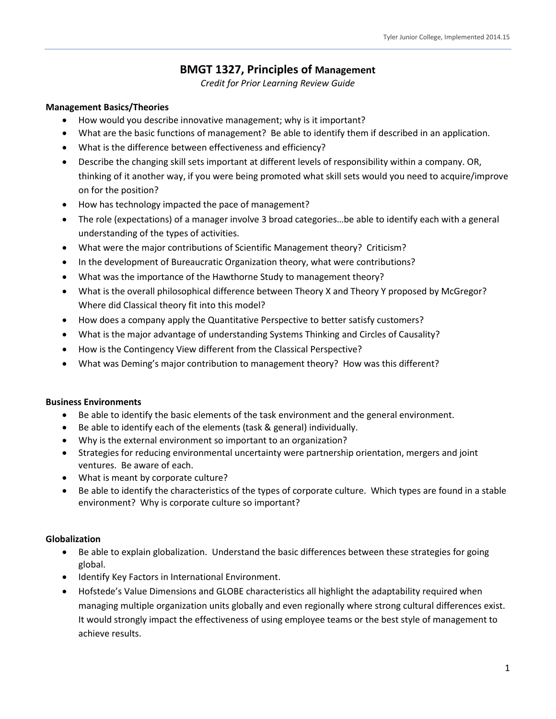# **BMGT 1327, Principles of Management**

*Credit for Prior Learning Review Guide*

#### **Management Basics/Theories**

- How would you describe innovative management; why is it important?
- x What are the basic functions of management? Be able to identify them if described in an application.
- x What is the difference between effectiveness and efficiency?
- Describe the changing skill sets important at different levels of responsibility within a company. OR, thinking of it another way, if you were being promoted what skill sets would you need to acquire/improve on for the position?
- How has technology impacted the pace of management?
- x The role (expectations) of a manager involve 3 broad categories…be able to identify each with a general understanding of the types of activities.
- x What were the major contributions of Scientific Management theory? Criticism?
- In the development of Bureaucratic Organization theory, what were contributions?
- What was the importance of the Hawthorne Study to management theory?
- What is the overall philosophical difference between Theory X and Theory Y proposed by McGregor? Where did Classical theory fit into this model?
- How does a company apply the Quantitative Perspective to better satisfy customers?
- x What is the major advantage of understanding Systems Thinking and Circles of Causality?
- How is the Contingency View different from the Classical Perspective?
- x What was Deming's major contribution to management theory? How was this different?

#### **Business Environments**

- Be able to identify the basic elements of the task environment and the general environment.
- Be able to identify each of the elements (task & general) individually.
- x Why is the external environment so important to an organization?
- x Strategies for reducing environmental uncertainty were partnership orientation, mergers and joint ventures. Be aware of each.
- What is meant by corporate culture?
- Be able to identify the characteristics of the types of corporate culture. Which types are found in a stable environment? Why is corporate culture so important?

#### **Globalization**

- Be able to explain globalization. Understand the basic differences between these strategies for going global.
- Identify Key Factors in International Environment.
- Hofstede's Value Dimensions and GLOBE characteristics all highlight the adaptability required when managing multiple organization units globally and even regionally where strong cultural differences exist. It would strongly impact the effectiveness of using employee teams or the best style of management to achieve results.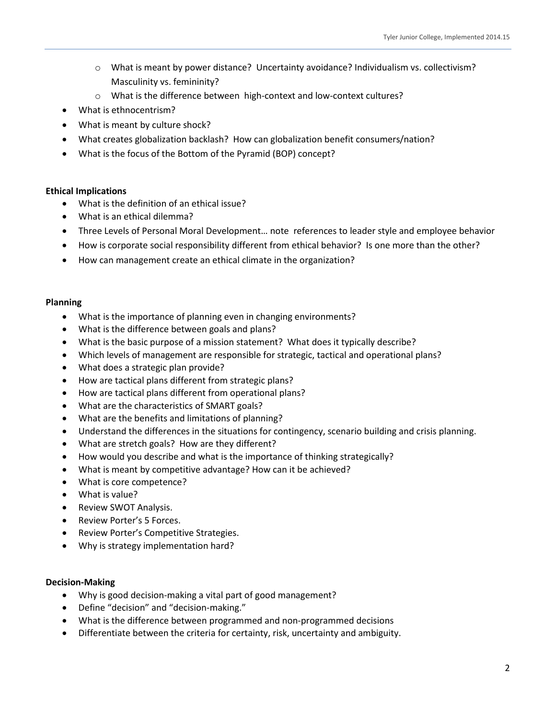- o What is meant by power distance? Uncertainty avoidance? Individualism vs. collectivism? Masculinity vs. femininity?
- o What is the difference between high-context and low-context cultures?
- x What is ethnocentrism?
- What is meant by culture shock?
- What creates globalization backlash? How can globalization benefit consumers/nation?
- What is the focus of the Bottom of the Pyramid (BOP) concept?

#### **Ethical Implications**

- What is the definition of an ethical issue?
- $\bullet$  What is an ethical dilemma?
- Three Levels of Personal Moral Development... note references to leader style and employee behavior
- How is corporate social responsibility different from ethical behavior? Is one more than the other?
- How can management create an ethical climate in the organization?

#### **Planning**

- What is the importance of planning even in changing environments?
- What is the difference between goals and plans?
- x What is the basic purpose of a mission statement? What does it typically describe?
- x Which levels of management are responsible for strategic, tactical and operational plans?
- What does a strategic plan provide?
- How are tactical plans different from strategic plans?
- How are tactical plans different from operational plans?
- What are the characteristics of SMART goals?
- What are the benefits and limitations of planning?
- Understand the differences in the situations for contingency, scenario building and crisis planning.
- What are stretch goals? How are they different?
- How would you describe and what is the importance of thinking strategically?
- x What is meant by competitive advantage? How can it be achieved?
- What is core competence?
- What is value?
- Review SWOT Analysis.
- Review Porter's 5 Forces.
- Review Porter's Competitive Strategies.
- Why is strategy implementation hard?

#### **Decision-Making**

- Why is good decision-making a vital part of good management?
- Define "decision" and "decision-making."
- What is the difference between programmed and non-programmed decisions
- Differentiate between the criteria for certainty, risk, uncertainty and ambiguity.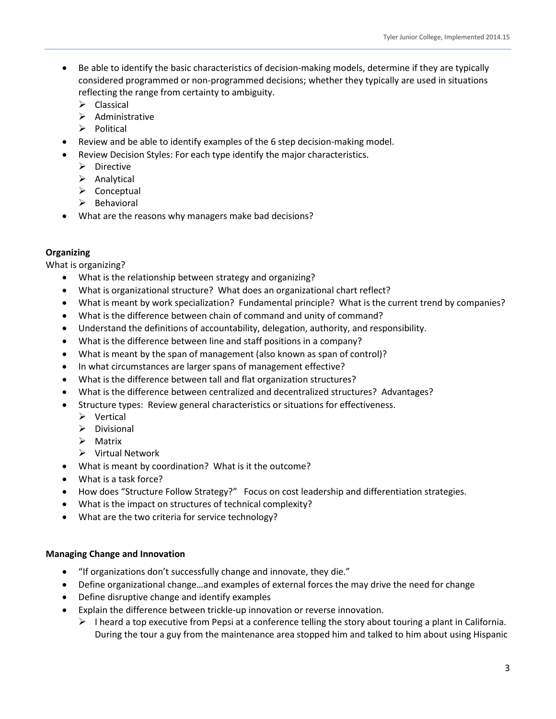- Be able to identify the basic characteristics of decision-making models, determine if they are typically considered programmed or non-programmed decisions; whether they typically are used in situations reflecting the range from certainty to ambiguity.
	- $\triangleright$  Classical
	- $\triangleright$  Administrative
	- $\triangleright$  Political
- x Review and be able to identify examples of the 6 step decision-making model.
- Review Decision Styles: For each type identify the major characteristics.
	- $\triangleright$  Directive
	- $\triangleright$  Analytical
	- $\triangleright$  Conceptual
	- $\triangleright$  Behavioral
- What are the reasons why managers make bad decisions?

# **Organizing**

What is organizing?

- x What is the relationship between strategy and organizing?
- What is organizational structure? What does an organizational chart reflect?
- What is meant by work specialization? Fundamental principle? What is the current trend by companies?
- x What is the difference between chain of command and unity of command?
- Understand the definitions of accountability, delegation, authority, and responsibility.
- What is the difference between line and staff positions in a company?
- x What is meant by the span of management (also known as span of control)?
- In what circumstances are larger spans of management effective?
- x What is the difference between tall and flat organization structures?
- x What is the difference between centralized and decentralized structures? Advantages?
- Structure types: Review general characteristics or situations for effectiveness.
	- $\triangleright$  Vertical
	- $\triangleright$  Divisional
	- $\triangleright$  Matrix
	- ¾ Virtual Network
- x What is meant by coordination? What is it the outcome?
- What is a task force?
- How does "Structure Follow Strategy?" Focus on cost leadership and differentiation strategies.
- x What is the impact on structures of technical complexity?
- What are the two criteria for service technology?

# **Managing Change and Innovation**

- "If organizations don't successfully change and innovate, they die."
- Define organizational change…and examples of external forces the may drive the need for change
- Define disruptive change and identify examples
- Explain the difference between trickle-up innovation or reverse innovation.
	- $\triangleright$  I heard a top executive from Pepsi at a conference telling the story about touring a plant in California. During the tour a guy from the maintenance area stopped him and talked to him about using Hispanic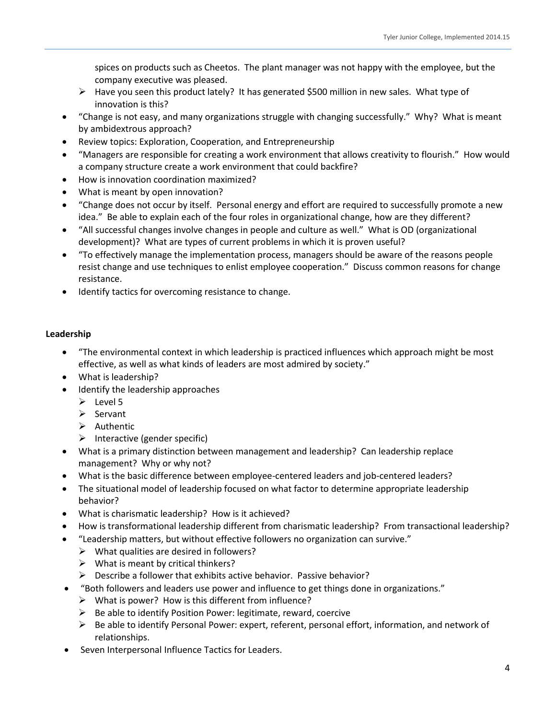spices on products such as Cheetos. The plant manager was not happy with the employee, but the company executive was pleased.

- $\triangleright$  Have you seen this product lately? It has generated \$500 million in new sales. What type of innovation is this?
- "Change is not easy, and many organizations struggle with changing successfully." Why? What is meant by ambidextrous approach?
- Review topics: Exploration, Cooperation, and Entrepreneurship
- x "Managers are responsible for creating a work environment that allows creativity to flourish." How would a company structure create a work environment that could backfire?
- How is innovation coordination maximized?
- What is meant by open innovation?
- x "Change does not occur by itself. Personal energy and effort are required to successfully promote a new idea." Be able to explain each of the four roles in organizational change, how are they different?
- x "All successful changes involve changes in people and culture as well." What is OD (organizational development)? What are types of current problems in which it is proven useful?
- "To effectively manage the implementation process, managers should be aware of the reasons people resist change and use techniques to enlist employee cooperation." Discuss common reasons for change resistance.
- Identify tactics for overcoming resistance to change.

# **Leadership**

- x "The environmental context in which leadership is practiced influences which approach might be most effective, as well as what kinds of leaders are most admired by society."
- What is leadership?
- Identify the leadership approaches
	- $\triangleright$  Level 5
	- $\triangleright$  Servant
	- $\triangleright$  Authentic
	- $\triangleright$  Interactive (gender specific)
- What is a primary distinction between management and leadership? Can leadership replace management? Why or why not?
- x What is the basic difference between employee-centered leaders and job-centered leaders?
- x The situational model of leadership focused on what factor to determine appropriate leadership behavior?
- What is charismatic leadership? How is it achieved?
- How is transformational leadership different from charismatic leadership? From transactional leadership?
- "Leadership matters, but without effective followers no organization can survive."
	- $\triangleright$  What qualities are desired in followers?
		- $\triangleright$  What is meant by critical thinkers?
	- $\triangleright$  Describe a follower that exhibits active behavior. Passive behavior?
- "Both followers and leaders use power and influence to get things done in organizations."
	- $\triangleright$  What is power? How is this different from influence?
	- $\triangleright$  Be able to identify Position Power: legitimate, reward, coercive
	- $\triangleright$  Be able to identify Personal Power: expert, referent, personal effort, information, and network of relationships.
- Seven Interpersonal Influence Tactics for Leaders.